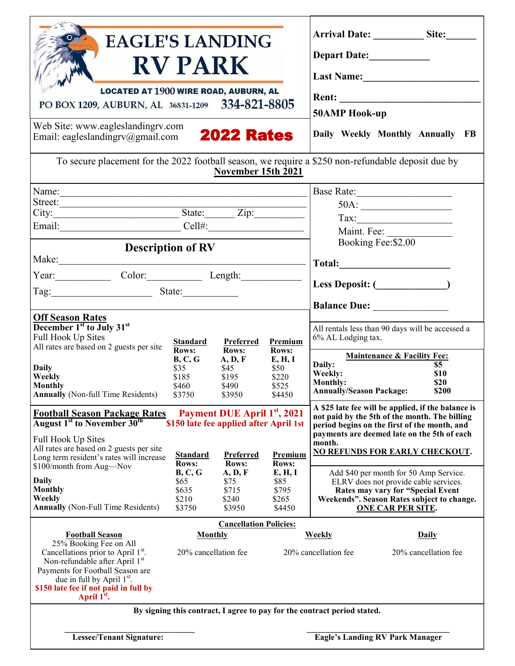| <b>EAGLE'S LANDING</b><br><b>RV PARK</b><br><b>LOCATED AT 1900 WIRE ROAD, AUBURN, AL</b><br>PO BOX 1209, AUBURN, AL 36831-1209 334-821-8805<br>Web Site: www.eagleslandingrv.com<br>Email: eagleslandingrv@gmail.com 2022 Rates                                                    |                                                                         |                                                                                                                         |                                                       | Depart Date:____________<br>Last Name:<br>Rent: and the state of the state of the state of the state of the state of the state of the state of the state of the state of the state of the state of the state of the state of the state of the state of the state of the<br><b>50AMP Hook-up</b><br>Daily Weekly Monthly Annually FB |
|------------------------------------------------------------------------------------------------------------------------------------------------------------------------------------------------------------------------------------------------------------------------------------|-------------------------------------------------------------------------|-------------------------------------------------------------------------------------------------------------------------|-------------------------------------------------------|-------------------------------------------------------------------------------------------------------------------------------------------------------------------------------------------------------------------------------------------------------------------------------------------------------------------------------------|
| To secure placement for the 2022 football season, we require a \$250 non-refundable deposit due by<br>November 15th 2021                                                                                                                                                           |                                                                         |                                                                                                                         |                                                       |                                                                                                                                                                                                                                                                                                                                     |
| Name:<br>City: State: Zip:<br>Email: Cell#: Cell#:                                                                                                                                                                                                                                 |                                                                         |                                                                                                                         |                                                       | 50A:<br>$\begin{tabular}{ c c } \hline \textbf{Tax:} & \textbf{if} & \textbf{if} \\ \hline \end{tabular}$<br>Maint. Fee:<br>Booking Fee: \$2.00                                                                                                                                                                                     |
| <b>Description of RV</b><br>Make:<br>Year: Color: Length:<br>Tag: $\frac{1}{2}$ State:                                                                                                                                                                                             |                                                                         |                                                                                                                         | Less Deposit: ( <u> </u>                              |                                                                                                                                                                                                                                                                                                                                     |
| <b>Off Season Rates</b><br>December 1 <sup>st</sup> to July 31 <sup>st</sup><br>Full Hook Up Sites<br>All rates are based on 2 guests per site<br>Daily<br>Weekly<br>Monthly                                                                                                       | <b>Standard</b><br>Rows:<br>B, C, G<br>\$35<br>\$185<br>\$460           | <b>Preferred</b><br>Rows:<br>A, D, F<br>\$45<br>\$195<br>\$490                                                          | Premium<br>Rows:<br>E, H, I<br>\$50<br>\$220<br>\$525 | All rentals less than 90 days will be accessed a<br>6% AL Lodging tax.<br><b>Maintenance &amp; Facility Fee:</b><br>Daily:<br>\$5<br>Weekly:<br>\$10<br><b>Monthly:</b><br>\$20<br><b>Annually/Season Package:</b><br>\$200                                                                                                         |
| <b>Annually</b> (Non-full Time Residents)<br><b>Football Season Package Rates</b><br>August 1 <sup>st</sup> to November 30 <sup>th</sup><br>Full Hook Up Sites<br>All rates are based on 2 guests per site<br>Long term resident's rates will increase<br>\$100/month from Aug-Nov | \$3750<br><b>Standard</b><br><b>Rows:</b><br>B, C, G                    | \$3950<br>Payment DUE April 1st, 2021<br>\$150 late fee applied after April 1st<br>Preferred<br><b>Rows:</b><br>A, D, F | \$4450<br>Premium<br>Rows:<br>E, H, I                 | A \$25 late fee will be applied, if the balance is<br>not paid by the 5th of the month. The billing<br>period begins on the first of the month, and<br>payments are deemed late on the 5th of each<br>month.<br><b>NO REFUNDS FOR EARLY CHECKOUT.</b><br>Add \$40 per month for 50 Amp Service.                                     |
| <b>Daily</b><br><b>Monthly</b><br>Weekly<br><b>Annually</b> (Non-Full Time Residents)                                                                                                                                                                                              | \$65<br>\$635<br>\$210<br>\$3750                                        | \$75<br>\$715<br>\$240<br>\$3950                                                                                        | \$85<br>\$795<br>\$265<br>\$4450                      | ELRV does not provide cable services.<br>Rates may vary for "Special Event<br>Weekends". Season Rates subject to change.<br><b>ONE CAR PER SITE.</b>                                                                                                                                                                                |
| <b>Football Season</b><br>25% Booking Fee on All<br>Cancellations prior to April 1st.<br>Non-refundable after April 1st<br>Payments for Football Season are<br>due in full by April 1 <sup>st</sup> .<br>\$150 late fee if not paid in full by<br>April 1 <sup>st</sup> .          | <b>Cancellation Policies:</b><br><b>Monthly</b><br>20% cancellation fee |                                                                                                                         |                                                       | <b>Weekly</b><br><b>Daily</b><br>20% cancellation fee<br>20% cancellation fee                                                                                                                                                                                                                                                       |
| By signing this contract, I agree to pay for the contract period stated.<br><b>Eagle's Landing RV Park Manager</b><br><b>Lessee/Tenant Signature:</b>                                                                                                                              |                                                                         |                                                                                                                         |                                                       |                                                                                                                                                                                                                                                                                                                                     |